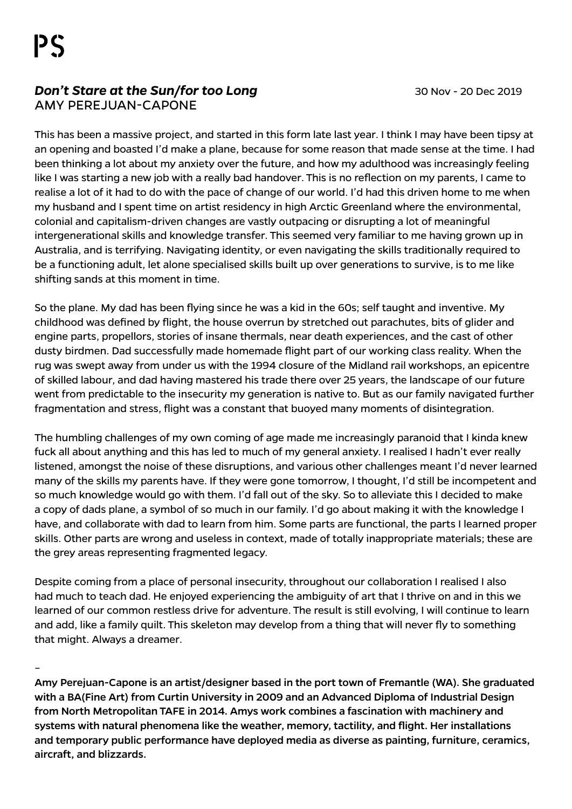## **Don't Stare at the Sun/for too Long 1988 120 Nov - 20 Dec 2019** Amy Perejuan-Capone

This has been a massive project, and started in this form late last year. I think I may have been tipsy at an opening and boasted I'd make a plane, because for some reason that made sense at the time. I had been thinking a lot about my anxiety over the future, and how my adulthood was increasingly feeling like I was starting a new job with a really bad handover. This is no reflection on my parents, I came to realise a lot of it had to do with the pace of change of our world. I'd had this driven home to me when my husband and I spent time on artist residency in high Arctic Greenland where the environmental, colonial and capitalism-driven changes are vastly outpacing or disrupting a lot of meaningful intergenerational skills and knowledge transfer. This seemed very familiar to me having grown up in Australia, and is terrifying. Navigating identity, or even navigating the skills traditionally required to be a functioning adult, let alone specialised skills built up over generations to survive, is to me like shifting sands at this moment in time.

So the plane. My dad has been flying since he was a kid in the 60s; self taught and inventive. My childhood was defined by flight, the house overrun by stretched out parachutes, bits of glider and engine parts, propellors, stories of insane thermals, near death experiences, and the cast of other dusty birdmen. Dad successfully made homemade flight part of our working class reality. When the rug was swept away from under us with the 1994 closure of the Midland rail workshops, an epicentre of skilled labour, and dad having mastered his trade there over 25 years, the landscape of our future went from predictable to the insecurity my generation is native to. But as our family navigated further fragmentation and stress, flight was a constant that buoyed many moments of disintegration.

The humbling challenges of my own coming of age made me increasingly paranoid that I kinda knew fuck all about anything and this has led to much of my general anxiety. I realised I hadn't ever really listened, amongst the noise of these disruptions, and various other challenges meant I'd never learned many of the skills my parents have. If they were gone tomorrow, I thought, I'd still be incompetent and so much knowledge would go with them. I'd fall out of the sky. So to alleviate this I decided to make a copy of dads plane, a symbol of so much in our family. I'd go about making it with the knowledge I have, and collaborate with dad to learn from him. Some parts are functional, the parts I learned proper skills. Other parts are wrong and useless in context, made of totally inappropriate materials; these are the grey areas representing fragmented legacy.

Despite coming from a place of personal insecurity, throughout our collaboration I realised I also had much to teach dad. He enjoyed experiencing the ambiguity of art that I thrive on and in this we learned of our common restless drive for adventure. The result is still evolving, I will continue to learn and add, like a family quilt. This skeleton may develop from a thing that will never fly to something that might. Always a dreamer.

–

Amy Perejuan-Capone is an artist/designer based in the port town of Fremantle (WA). She graduated with a BA(Fine Art) from Curtin University in 2009 and an Advanced Diploma of Industrial Design from North Metropolitan TAFE in 2014. Amys work combines a fascination with machinery and systems with natural phenomena like the weather, memory, tactility, and flight. Her installations and temporary public performance have deployed media as diverse as painting, furniture, ceramics, aircraft, and blizzards.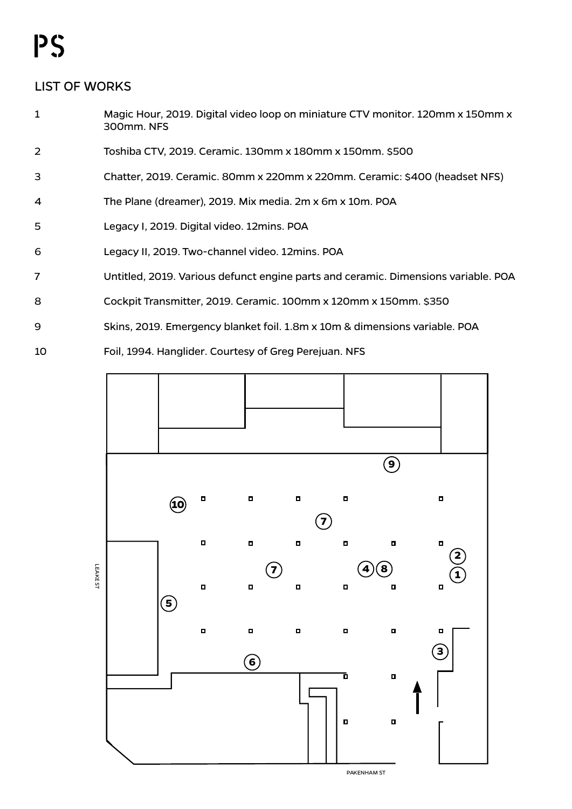## PS

## LIST OF WORKS

- 1 Magic Hour, 2019. Digital video loop on miniature CTV monitor. 120mm x 150mm x 300mm. NFS
- 2 Toshiba CTV, 2019. Ceramic. 130mm x 180mm x 150mm. \$500
- 3 Chatter, 2019. Ceramic. 80mm x 220mm x 220mm. Ceramic: \$400 (headset NFS)
- 4 The Plane (dreamer), 2019. Mix media. 2m x 6m x 10m. POA
- 5 Legacy I, 2019. Digital video. 12mins. POA
- 6 Legacy II, 2019. Two-channel video. 12mins. POA
- 7 Untitled, 2019. Various defunct engine parts and ceramic. Dimensions variable. POA
- 8 Cockpit Transmitter, 2019. Ceramic. 100mm x 120mm x 150mm. \$350
- 9 Skins, 2019. Emergency blanket foil. 1.8m x 10m & dimensions variable. POA
- 10 Foil, 1994. Hanglider. Courtesy of Greg Perejuan. NFS



PAKeNHAm ST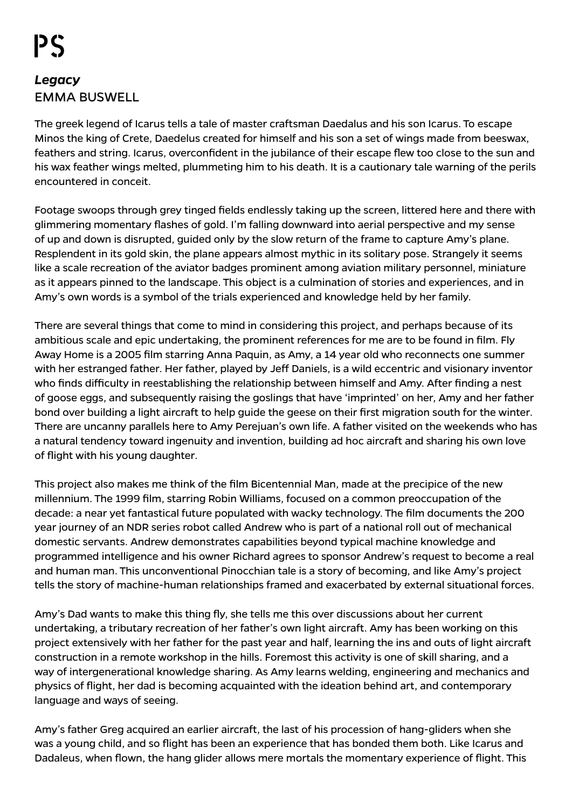## *Legacy* EMMA BUSWELL

The greek legend of Icarus tells a tale of master craftsman Daedalus and his son Icarus. To escape Minos the king of Crete, Daedelus created for himself and his son a set of wings made from beeswax, feathers and string. Icarus, overconfident in the jubilance of their escape flew too close to the sun and his wax feather wings melted, plummeting him to his death. It is a cautionary tale warning of the perils encountered in conceit.

Footage swoops through grey tinged fields endlessly taking up the screen, littered here and there with glimmering momentary flashes of gold. I'm falling downward into aerial perspective and my sense of up and down is disrupted, guided only by the slow return of the frame to capture Amy's plane. Resplendent in its gold skin, the plane appears almost mythic in its solitary pose. Strangely it seems like a scale recreation of the aviator badges prominent among aviation military personnel, miniature as it appears pinned to the landscape. This object is a culmination of stories and experiences, and in Amy's own words is a symbol of the trials experienced and knowledge held by her family.

There are several things that come to mind in considering this project, and perhaps because of its ambitious scale and epic undertaking, the prominent references for me are to be found in film. Fly Away Home is a 2005 film starring Anna Paquin, as Amy, a 14 year old who reconnects one summer with her estranged father. Her father, played by Jeff Daniels, is a wild eccentric and visionary inventor who finds difficulty in reestablishing the relationship between himself and Amy. After finding a nest of goose eggs, and subsequently raising the goslings that have 'imprinted' on her, Amy and her father bond over building a light aircraft to help guide the geese on their first migration south for the winter. There are uncanny parallels here to Amy Perejuan's own life. A father visited on the weekends who has a natural tendency toward ingenuity and invention, building ad hoc aircraft and sharing his own love of flight with his young daughter.

This project also makes me think of the film Bicentennial Man, made at the precipice of the new millennium. The 1999 film, starring Robin Williams, focused on a common preoccupation of the decade: a near yet fantastical future populated with wacky technology. The film documents the 200 year journey of an NDR series robot called Andrew who is part of a national roll out of mechanical domestic servants. Andrew demonstrates capabilities beyond typical machine knowledge and programmed intelligence and his owner Richard agrees to sponsor Andrew's request to become a real and human man. This unconventional Pinocchian tale is a story of becoming, and like Amy's project tells the story of machine-human relationships framed and exacerbated by external situational forces.

Amy's Dad wants to make this thing fly, she tells me this over discussions about her current undertaking, a tributary recreation of her father's own light aircraft. Amy has been working on this project extensively with her father for the past year and half, learning the ins and outs of light aircraft construction in a remote workshop in the hills. Foremost this activity is one of skill sharing, and a way of intergenerational knowledge sharing. As Amy learns welding, engineering and mechanics and physics of flight, her dad is becoming acquainted with the ideation behind art, and contemporary language and ways of seeing.

Amy's father Greg acquired an earlier aircraft, the last of his procession of hang-gliders when she was a young child, and so flight has been an experience that has bonded them both. Like Icarus and Dadaleus, when flown, the hang glider allows mere mortals the momentary experience of flight. This